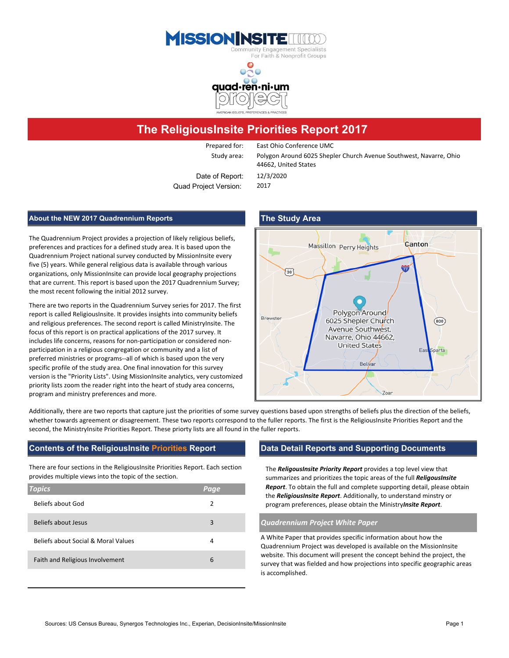



# **The ReligiousInsite Priorities Report 2017**

Prepared for: East Ohio Conference UMC

Date of Report: 12/3/2020 Quad Project Version: 2017

Study area: Polygon Around 6025 Shepler Church Avenue Southwest, Navarre, Ohio 44662, United States

### **About the NEW 2017 Quadrennium Reports The Study Area**

The Quadrennium Project provides a projection of likely religious beliefs, preferences and practices for a defined study area. It is based upon the Quadrennium Project national survey conducted by MissionInsite every five (5) years. While general religious data is available through various organizations, only MissionInsite can provide local geography projections that are current. This report is based upon the 2017 Quadrennium Survey; the most recent following the initial 2012 survey.

There are two reports in the Quadrennium Survey series for 2017. The first report is called ReligiousInsite. It provides insights into community beliefs and religious preferences. The second report is called MinistryInsite. The focus of this report is on practical applications of the 2017 survey. It includes life concerns, reasons for non-participation or considered nonparticipation in a religious congregation or community and a list of preferred ministries or programs--all of which is based upon the very specific profile of the study area. One final innovation for this survey version is the "Priority Lists". Using MissionInsite analytics, very customized priority lists zoom the reader right into the heart of study area concerns, program and ministry preferences and more.



Additionally, there are two reports that capture just the priorities of some survey questions based upon strengths of beliefs plus the direction of the beliefs, whether towards agreement or disagreement. These two reports correspond to the fuller reports. The first is the ReligiousInsite Priorities Report and the second, the MinistryInsite Priorities Report. These priorty lists are all found in the fuller reports.

### **Contents of the ReligiousInsite Priorities Report Data Detail Reports and Supporting Documents**

There are four sections in the ReligiousInsite Priorities Report. Each section provides multiple views into the topic of the section.

| <b>Topics</b>                       | <u> Page</u> |
|-------------------------------------|--------------|
| Beliefs about God                   | 2            |
| Beliefs about Jesus                 | 3            |
| Beliefs about Social & Moral Values | 4            |
| Faith and Religious Involvement     | 6            |

The *ReligousInsite Priority Report* provides a top level view that summarizes and prioritizes the topic areas of the full *ReligousInsite Report*. To obtain the full and complete supporting detail, please obtain the *ReligiousInsite Report*. Additionally, to understand minstry or program preferences, please obtain the Ministry*Insite Report*.

### Beliefs about Jesus 3 *Quadrennium Project White Paper*

A White Paper that provides specific information about how the Quadrennium Project was developed is available on the MissionInsite website. This document will present the concept behind the project, the survey that was fielded and how projections into specific geographic areas is accomplished.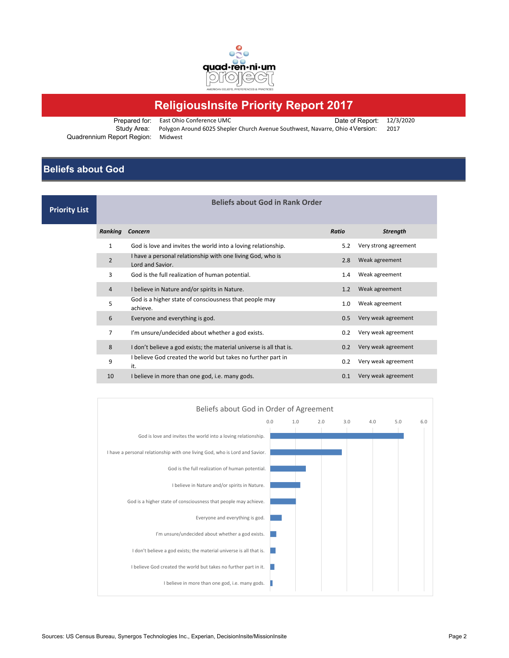

# **ReligiousInsite Priority Report 2017**

Prepared for: East Ohio Conference UMC<br>Study Area: Polygon Around 6025 Shepler Church Avenue Southwest, Navarre, Ohio 4 Version: 2017 Polygon Around 6025 Shepler Church Avenue Southwest, Navarre, Ohio 4 Version: 2017 Quadrennium Report Region: Midwest

## **Beliefs about God**

| <b>Priority List</b> | <b>Beliefs about God in Rank Order</b> |                                                                                |              |                       |
|----------------------|----------------------------------------|--------------------------------------------------------------------------------|--------------|-----------------------|
|                      | Ranking                                | Concern                                                                        | <b>Ratio</b> | <b>Strength</b>       |
|                      | $\mathbf{1}$                           | God is love and invites the world into a loving relationship.                  | 5.2          | Very strong agreement |
|                      | $\overline{2}$                         | I have a personal relationship with one living God, who is<br>Lord and Savior. | 2.8          | Weak agreement        |
|                      | 3                                      | God is the full realization of human potential.                                | 1.4          | Weak agreement        |
|                      | $\overline{4}$                         | I believe in Nature and/or spirits in Nature.                                  | 1.2          | Weak agreement        |
|                      | 5                                      | God is a higher state of consciousness that people may<br>achieve.             | 1.0          | Weak agreement        |
|                      | 6                                      | Everyone and everything is god.                                                | 0.5          | Very weak agreement   |
|                      | 7                                      | I'm unsure/undecided about whether a god exists.                               | 0.2          | Very weak agreement   |
|                      | 8                                      | I don't believe a god exists; the material universe is all that is.            | 0.2          | Very weak agreement   |
|                      | 9                                      | I believe God created the world but takes no further part in<br>it.            | 0.2          | Very weak agreement   |
|                      | 10                                     | I believe in more than one god, i.e. many gods.                                | 0.1          | Very weak agreement   |
|                      |                                        |                                                                                |              |                       |

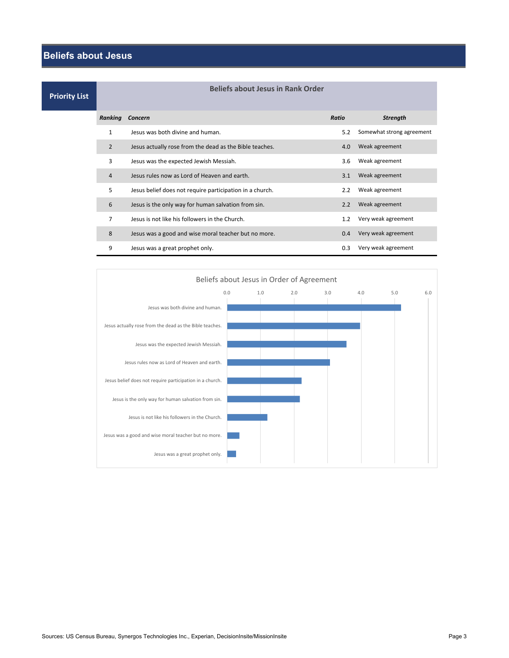## **Beliefs about Jesus**

**Priority Li** 

| ist |                | Beliefs about Jesus in Rank Order                        |               |                           |
|-----|----------------|----------------------------------------------------------|---------------|---------------------------|
|     | Ranking        | Concern                                                  | Ratio         | <b>Strength</b>           |
|     | $\mathbf{1}$   | Jesus was both divine and human.                         | 5.2           | Somewhat strong agreement |
|     | $\overline{2}$ | Jesus actually rose from the dead as the Bible teaches.  | 4.0           | Weak agreement            |
|     | 3              | Jesus was the expected Jewish Messiah.                   | 3.6           | Weak agreement            |
|     | 4              | Jesus rules now as Lord of Heaven and earth.             | 3.1           | Weak agreement            |
|     | 5              | Jesus belief does not require participation in a church. | 2.2           | Weak agreement            |
|     | 6              | Jesus is the only way for human salvation from sin.      | 2.2           | Weak agreement            |
|     | 7              | Jesus is not like his followers in the Church.           | $1.2^{\circ}$ | Very weak agreement       |
|     | 8              | Jesus was a good and wise moral teacher but no more.     | 0.4           | Very weak agreement       |
|     | 9              | Jesus was a great prophet only.                          | 0.3           | Very weak agreement       |



**Beliefs about Jesus in Rank Order**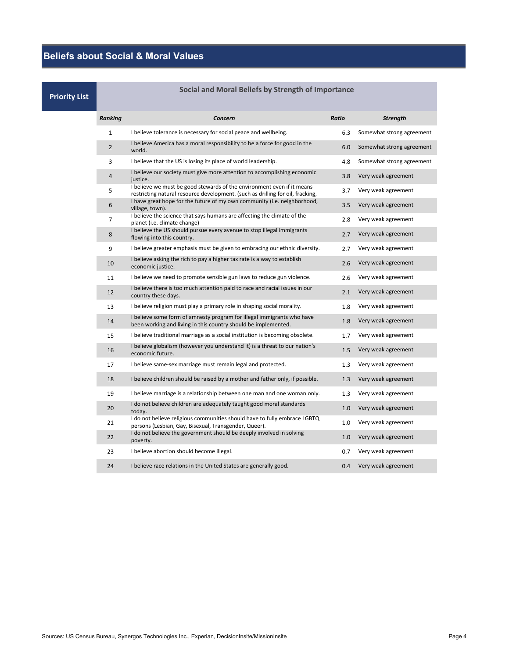**Beliefs about Social & Moral Values**

| <b>Priority List</b> | bocial and ivioral beliefs by Strength of Importance |                                                                                                                                                          |       |                           |
|----------------------|------------------------------------------------------|----------------------------------------------------------------------------------------------------------------------------------------------------------|-------|---------------------------|
|                      | <b>Ranking</b>                                       | Concern                                                                                                                                                  | Ratio | <b>Strength</b>           |
|                      | $\mathbf{1}$                                         | I believe tolerance is necessary for social peace and wellbeing.                                                                                         | 6.3   | Somewhat strong agreement |
|                      | $\overline{2}$                                       | I believe America has a moral responsibility to be a force for good in the<br>world.                                                                     | 6.0   | Somewhat strong agreement |
|                      | 3                                                    | I believe that the US is losing its place of world leadership.                                                                                           | 4.8   | Somewhat strong agreement |
|                      | 4                                                    | I believe our society must give more attention to accomplishing economic<br>justice.                                                                     | 3.8   | Very weak agreement       |
|                      | 5                                                    | I believe we must be good stewards of the environment even if it means<br>restricting natural resource development. (such as drilling for oil, fracking, | 3.7   | Very weak agreement       |
|                      | 6                                                    | I have great hope for the future of my own community (i.e. neighborhood,<br>village, town).                                                              | 3.5   | Very weak agreement       |
|                      | $\overline{7}$                                       | I believe the science that says humans are affecting the climate of the<br>planet (i.e. climate change)                                                  | 2.8   | Very weak agreement       |
|                      | 8                                                    | I believe the US should pursue every avenue to stop illegal immigrants<br>flowing into this country.                                                     | 2.7   | Very weak agreement       |
|                      | 9                                                    | I believe greater emphasis must be given to embracing our ethnic diversity.                                                                              | 2.7   | Very weak agreement       |
|                      | 10                                                   | I believe asking the rich to pay a higher tax rate is a way to establish<br>economic justice.                                                            | 2.6   | Very weak agreement       |
|                      | 11                                                   | I believe we need to promote sensible gun laws to reduce gun violence.                                                                                   | 2.6   | Very weak agreement       |
|                      | 12                                                   | I believe there is too much attention paid to race and racial issues in our<br>country these days.                                                       | 2.1   | Very weak agreement       |
|                      | 13                                                   | I believe religion must play a primary role in shaping social morality.                                                                                  | 1.8   | Very weak agreement       |
|                      | 14                                                   | I believe some form of amnesty program for illegal immigrants who have<br>been working and living in this country should be implemented.                 | 1.8   | Very weak agreement       |
|                      | 15                                                   | I believe traditional marriage as a social institution is becoming obsolete.                                                                             | 1.7   | Very weak agreement       |
|                      | 16                                                   | I believe globalism (however you understand it) is a threat to our nation's<br>economic future.                                                          | 1.5   | Very weak agreement       |
|                      | 17                                                   | I believe same-sex marriage must remain legal and protected.                                                                                             | 1.3   | Very weak agreement       |
|                      | 18                                                   | I believe children should be raised by a mother and father only, if possible.                                                                            | 1.3   | Very weak agreement       |
|                      | 19                                                   | I believe marriage is a relationship between one man and one woman only.                                                                                 | 1.3   | Very weak agreement       |
|                      | 20                                                   | I do not believe children are adequately taught good moral standards<br>today.                                                                           | 1.0   | Very weak agreement       |
|                      | 21                                                   | I do not believe religious communities should have to fully embrace LGBTQ<br>persons (Lesbian, Gay, Bisexual, Transgender, Queer).                       | 1.0   | Very weak agreement       |
|                      | 22                                                   | I do not believe the government should be deeply involved in solving<br>poverty.                                                                         | 1.0   | Very weak agreement       |
|                      | 23                                                   | I believe abortion should become illegal.                                                                                                                | 0.7   | Very weak agreement       |
|                      | 24                                                   | I believe race relations in the United States are generally good.                                                                                        | 0.4   | Very weak agreement       |

## **Social and Moral Beliefs by Strength of Importance**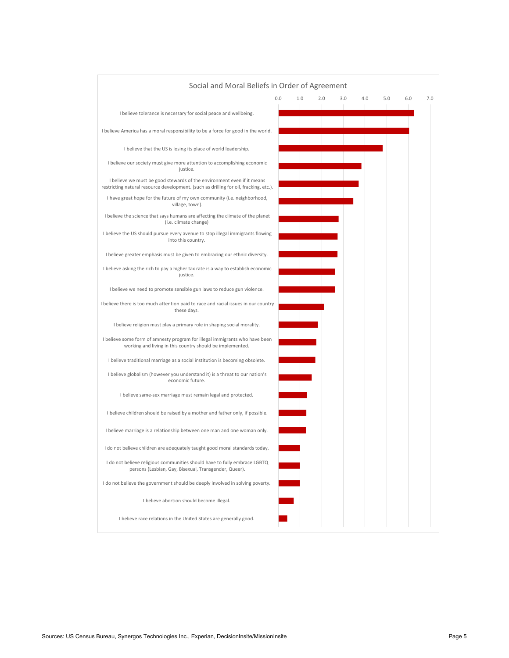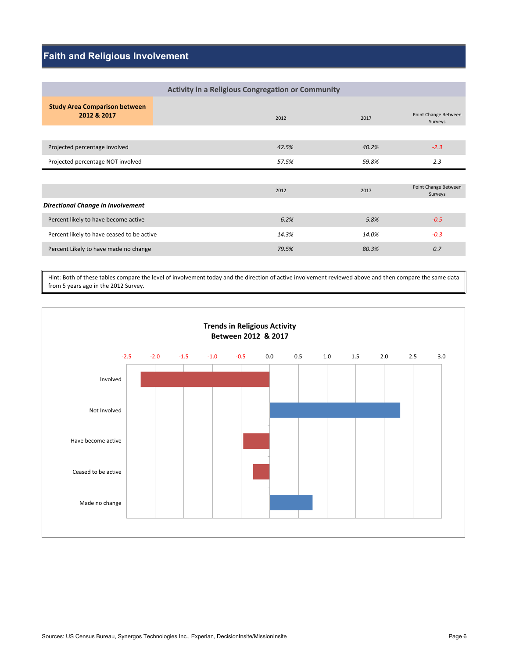## **Faith and Religious Involvement**

|                                                     | <b>Activity in a Religious Congregation or Community</b> |       |                                 |
|-----------------------------------------------------|----------------------------------------------------------|-------|---------------------------------|
| <b>Study Area Comparison between</b><br>2012 & 2017 | 2012                                                     | 2017  | Point Change Between<br>Surveys |
|                                                     |                                                          |       |                                 |
| Projected percentage involved                       | 42.5%                                                    | 40.2% | $-2.3$                          |
| Projected percentage NOT involved                   | 57.5%                                                    | 59.8% | 2.3                             |
|                                                     |                                                          |       |                                 |
|                                                     |                                                          |       | Point Change Between            |
|                                                     | 2012                                                     | 2017  | Surveys                         |
| Directional Change in Involvement                   |                                                          |       |                                 |
| Percent likely to have become active                | 6.2%                                                     | 5.8%  | $-0.5$                          |
| Percent likely to have ceased to be active          | 14.3%                                                    | 14.0% | $-0.3$                          |

Hint: Both of these tables compare the level of involvement today and the direction of active involvement reviewed above and then compare the same data from 5 years ago in the 2012 Survey.